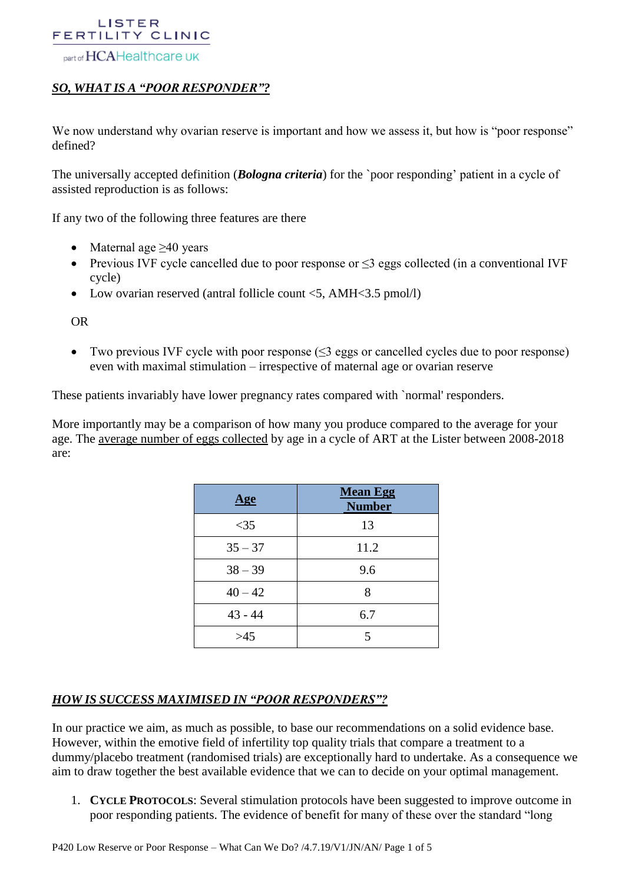#### part of HCAHealthcare UK

# *SO, WHAT IS A "POOR RESPONDER"?*

We now understand why ovarian reserve is important and how we assess it, but how is "poor response" defined?

The universally accepted definition (*Bologna criteria*) for the `poor responding' patient in a cycle of assisted reproduction is as follows:

If any two of the following three features are there

- Maternal age  $>40$  years
- Previous IVF cycle cancelled due to poor response or  $\leq$ 3 eggs collected (in a conventional IVF cycle)
- Low ovarian reserved (antral follicle count  $\langle 5, \text{AMH}\langle 3.5 \text{ pmol/l} \rangle$ )

OR

• Two previous IVF cycle with poor response  $(\leq 3$  eggs or cancelled cycles due to poor response) even with maximal stimulation – irrespective of maternal age or ovarian reserve

These patients invariably have lower pregnancy rates compared with `normal' responders.

More importantly may be a comparison of how many you produce compared to the average for your age. The average number of eggs collected by age in a cycle of ART at the Lister between 2008-2018 are:

| <u>Age</u> | <b>Mean Egg</b><br><b>Number</b> |
|------------|----------------------------------|
| $<$ 35     | 13                               |
| $35 - 37$  | 11.2                             |
| $38 - 39$  | 9.6                              |
| $40 - 42$  | 8                                |
| $43 - 44$  | 6.7                              |
| >45        | 5                                |

### *HOW IS SUCCESS MAXIMISED IN "POOR RESPONDERS"?*

In our practice we aim, as much as possible, to base our recommendations on a solid evidence base. However, within the emotive field of infertility top quality trials that compare a treatment to a dummy/placebo treatment (randomised trials) are exceptionally hard to undertake. As a consequence we aim to draw together the best available evidence that we can to decide on your optimal management.

1. **CYCLE PROTOCOLS**: Several stimulation protocols have been suggested to improve outcome in poor responding patients. The evidence of benefit for many of these over the standard "long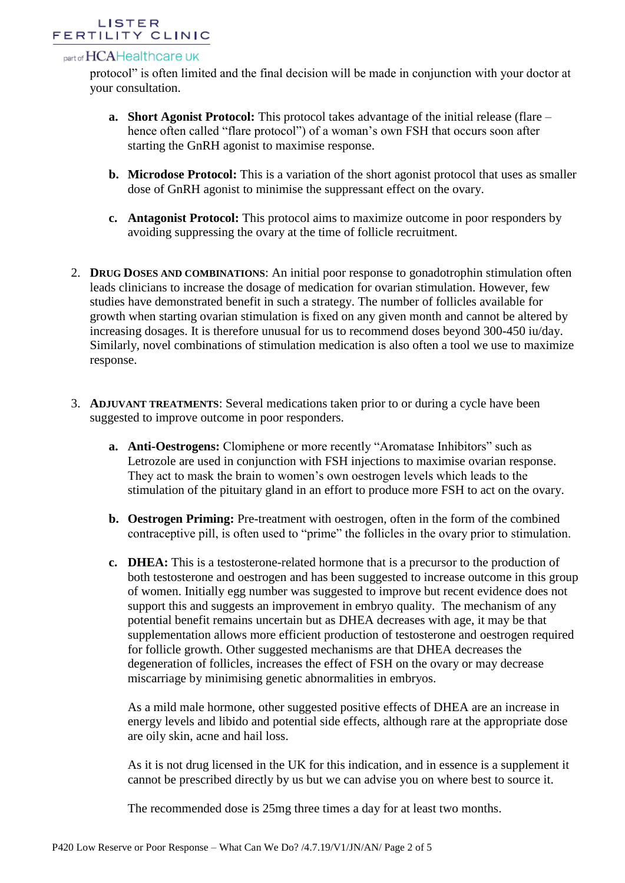## part of HCAHealthcare UK

protocol" is often limited and the final decision will be made in conjunction with your doctor at your consultation.

- **a. Short Agonist Protocol:** This protocol takes advantage of the initial release (flare hence often called "flare protocol") of a woman's own FSH that occurs soon after starting the GnRH agonist to maximise response.
- **b. Microdose Protocol:** This is a variation of the short agonist protocol that uses as smaller dose of GnRH agonist to minimise the suppressant effect on the ovary.
- **c. Antagonist Protocol:** This protocol aims to maximize outcome in poor responders by avoiding suppressing the ovary at the time of follicle recruitment.
- 2. **DRUG DOSES AND COMBINATIONS**: An initial poor response to gonadotrophin stimulation often leads clinicians to increase the dosage of medication for ovarian stimulation. However, few studies have demonstrated benefit in such a strategy. The number of follicles available for growth when starting ovarian stimulation is fixed on any given month and cannot be altered by increasing dosages. It is therefore unusual for us to recommend doses beyond 300-450 iu/day. Similarly, novel combinations of stimulation medication is also often a tool we use to maximize response.
- 3. **ADJUVANT TREATMENTS**: Several medications taken prior to or during a cycle have been suggested to improve outcome in poor responders.
	- **a. Anti-Oestrogens:** Clomiphene or more recently "Aromatase Inhibitors" such as Letrozole are used in conjunction with FSH injections to maximise ovarian response. They act to mask the brain to women's own oestrogen levels which leads to the stimulation of the pituitary gland in an effort to produce more FSH to act on the ovary.
	- **b. Oestrogen Priming:** Pre-treatment with oestrogen, often in the form of the combined contraceptive pill, is often used to "prime" the follicles in the ovary prior to stimulation.
	- **c. DHEA:** This is a testosterone-related hormone that is a precursor to the production of both testosterone and oestrogen and has been suggested to increase outcome in this group of women. Initially egg number was suggested to improve but recent evidence does not support this and suggests an improvement in embryo quality. The mechanism of any potential benefit remains uncertain but as DHEA decreases with age, it may be that supplementation allows more efficient production of testosterone and oestrogen required for follicle growth. Other suggested mechanisms are that DHEA decreases the degeneration of follicles, increases the effect of FSH on the ovary or may decrease miscarriage by minimising genetic abnormalities in embryos.

As a mild male hormone, other suggested positive effects of DHEA are an increase in energy levels and libido and potential side effects, although rare at the appropriate dose are oily skin, acne and hail loss.

As it is not drug licensed in the UK for this indication, and in essence is a supplement it cannot be prescribed directly by us but we can advise you on where best to source it.

The recommended dose is 25mg three times a day for at least two months.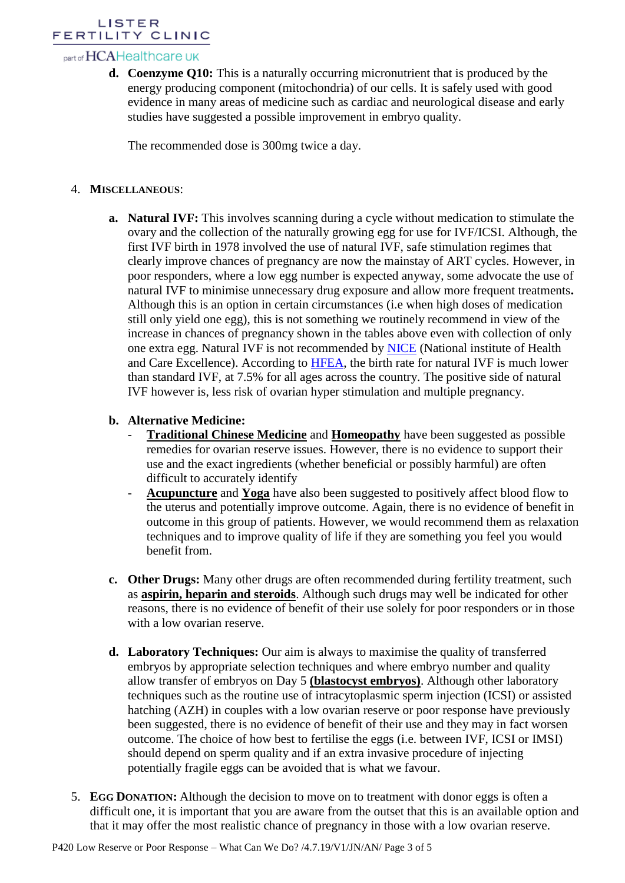## part of HCAHealthcare UK

**d. Coenzyme Q10:** This is a naturally occurring micronutrient that is produced by the energy producing component (mitochondria) of our cells. It is safely used with good evidence in many areas of medicine such as cardiac and neurological disease and early studies have suggested a possible improvement in embryo quality.

The recommended dose is 300mg twice a day.

## 4. **MISCELLANEOUS**:

**a. Natural IVF:** This involves scanning during a cycle without medication to stimulate the ovary and the collection of the naturally growing egg for use for IVF/ICSI. Although, the first IVF birth in 1978 involved the use of natural IVF, safe stimulation regimes that clearly improve chances of pregnancy are now the mainstay of ART cycles. However, in poor responders, where a low egg number is expected anyway, some advocate the use of natural IVF to minimise unnecessary drug exposure and allow more frequent treatments**.**  Although this is an option in certain circumstances (i.e when high doses of medication still only yield one egg), this is not something we routinely recommend in view of the increase in chances of pregnancy shown in the tables above even with collection of only one extra egg. Natural IVF is not recommended by [NICE](https://www.nice.org.uk/guidance/cg156/chapter/recommendations#natural-cycle-ivf) (National institute of Health and Care Excellence). According to [HFEA,](https://www.hfea.gov.uk/treatments/explore-all-treatments/ivf-options/) the birth rate for natural IVF is much lower than standard IVF, at 7.5% for all ages across the country. The positive side of natural IVF however is, less risk of ovarian hyper stimulation and multiple pregnancy.

# **b. Alternative Medicine:**

- **Traditional Chinese Medicine** and **Homeopathy** have been suggested as possible remedies for ovarian reserve issues. However, there is no evidence to support their use and the exact ingredients (whether beneficial or possibly harmful) are often difficult to accurately identify
- Acupuncture and Yoga have also been suggested to positively affect blood flow to the uterus and potentially improve outcome. Again, there is no evidence of benefit in outcome in this group of patients. However, we would recommend them as relaxation techniques and to improve quality of life if they are something you feel you would benefit from.
- **c. Other Drugs:** Many other drugs are often recommended during fertility treatment, such as **aspirin, heparin and steroids**. Although such drugs may well be indicated for other reasons, there is no evidence of benefit of their use solely for poor responders or in those with a low ovarian reserve.
- **d. Laboratory Techniques:** Our aim is always to maximise the quality of transferred embryos by appropriate selection techniques and where embryo number and quality allow transfer of embryos on Day 5 **(blastocyst embryos)**. Although other laboratory techniques such as the routine use of intracytoplasmic sperm injection (ICSI) or assisted hatching (AZH) in couples with a low ovarian reserve or poor response have previously been suggested, there is no evidence of benefit of their use and they may in fact worsen outcome. The choice of how best to fertilise the eggs (i.e. between IVF, ICSI or IMSI) should depend on sperm quality and if an extra invasive procedure of injecting potentially fragile eggs can be avoided that is what we favour.
- 5. **EGG DONATION:** Although the decision to move on to treatment with donor eggs is often a difficult one, it is important that you are aware from the outset that this is an available option and that it may offer the most realistic chance of pregnancy in those with a low ovarian reserve.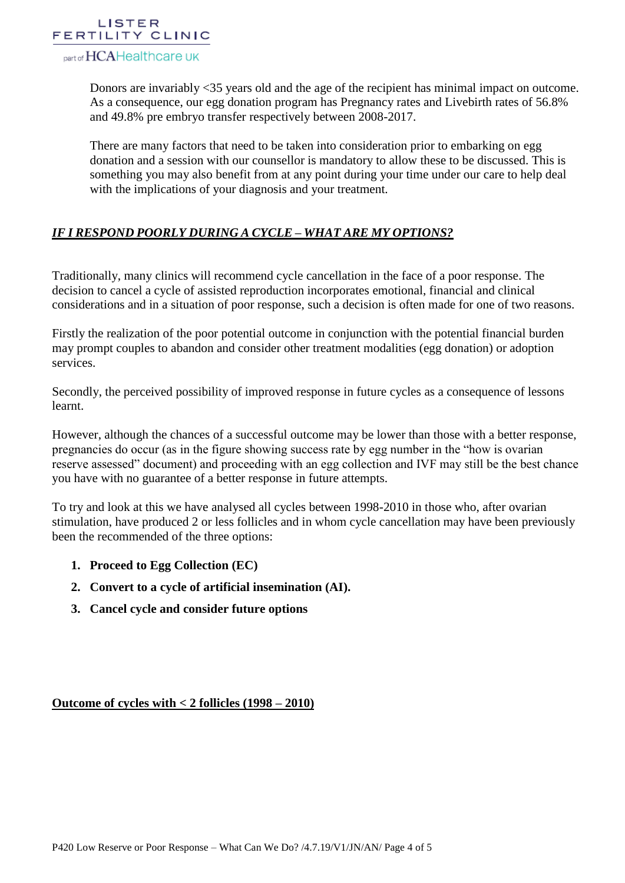

part of HCAHealthcare UK

Donors are invariably <35 years old and the age of the recipient has minimal impact on outcome. As a consequence, our egg donation program has Pregnancy rates and Livebirth rates of 56.8% and 49.8% pre embryo transfer respectively between 2008-2017.

There are many factors that need to be taken into consideration prior to embarking on egg donation and a session with our counsellor is mandatory to allow these to be discussed. This is something you may also benefit from at any point during your time under our care to help deal with the implications of your diagnosis and your treatment.

# *IF I RESPOND POORLY DURING A CYCLE – WHAT ARE MY OPTIONS?*

Traditionally, many clinics will recommend cycle cancellation in the face of a poor response. The decision to cancel a cycle of assisted reproduction incorporates emotional, financial and clinical considerations and in a situation of poor response, such a decision is often made for one of two reasons.

Firstly the realization of the poor potential outcome in conjunction with the potential financial burden may prompt couples to abandon and consider other treatment modalities (egg donation) or adoption services.

Secondly, the perceived possibility of improved response in future cycles as a consequence of lessons learnt.

However, although the chances of a successful outcome may be lower than those with a better response, pregnancies do occur (as in the figure showing success rate by egg number in the "how is ovarian reserve assessed" document) and proceeding with an egg collection and IVF may still be the best chance you have with no guarantee of a better response in future attempts.

To try and look at this we have analysed all cycles between 1998-2010 in those who, after ovarian stimulation, have produced 2 or less follicles and in whom cycle cancellation may have been previously been the recommended of the three options:

- **1. Proceed to Egg Collection (EC)**
- **2. Convert to a cycle of artificial insemination (AI).**
- **3. Cancel cycle and consider future options**

**Outcome of cycles with < 2 follicles (1998 – 2010)**